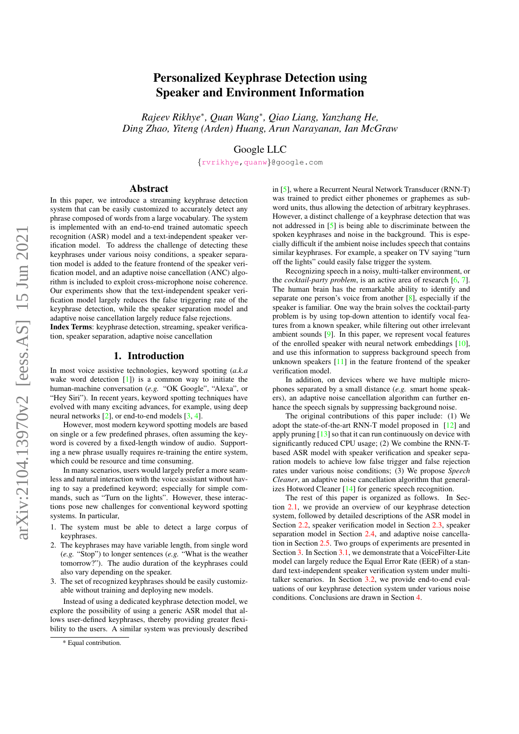# Personalized Keyphrase Detection using Speaker and Environment Information

*Rajeev Rikhye*<sup>∗</sup> *, Quan Wang*<sup>∗</sup> *, Qiao Liang, Yanzhang He, Ding Zhao, Yiteng (Arden) Huang, Arun Narayanan, Ian McGraw*

Google LLC

{[rvrikhye](mailto:rvrikhye@google.com)[,quanw](mailto:quanw@google.com)}@google.com

## Abstract

In this paper, we introduce a streaming keyphrase detection system that can be easily customized to accurately detect any phrase composed of words from a large vocabulary. The system is implemented with an end-to-end trained automatic speech recognition (ASR) model and a text-independent speaker verification model. To address the challenge of detecting these keyphrases under various noisy conditions, a speaker separation model is added to the feature frontend of the speaker verification model, and an adaptive noise cancellation (ANC) algorithm is included to exploit cross-microphone noise coherence. Our experiments show that the text-independent speaker verification model largely reduces the false triggering rate of the keyphrase detection, while the speaker separation model and adaptive noise cancellation largely reduce false rejections.

Index Terms: keyphrase detection, streaming, speaker verification, speaker separation, adaptive noise cancellation

# 1. Introduction

In most voice assistive technologies, keyword spotting (*a.k.a* wake word detection  $[1]$ ) is a common way to initiate the human-machine conversation (*e.g.* "OK Google", "Alexa", or "Hey Siri"). In recent years, keyword spotting techniques have evolved with many exciting advances, for example, using deep neural networks [\[2\]](#page-4-1), or end-to-end models [\[3,](#page-4-2) [4\]](#page-4-3).

However, most modern keyword spotting models are based on single or a few predefined phrases, often assuming the keyword is covered by a fixed-length window of audio. Supporting a new phrase usually requires re-training the entire system, which could be resource and time consuming.

In many scenarios, users would largely prefer a more seamless and natural interaction with the voice assistant without having to say a predefined keyword; especially for simple commands, such as "Turn on the lights". However, these interactions pose new challenges for conventional keyword spotting systems. In particular,

- 1. The system must be able to detect a large corpus of keyphrases.
- 2. The keyphrases may have variable length, from single word (*e.g.* "Stop") to longer sentences (*e.g.* "What is the weather tomorrow?"). The audio duration of the keyphrases could also vary depending on the speaker.
- 3. The set of recognized keyphrases should be easily customizable without training and deploying new models.

Instead of using a dedicated keyphrase detection model, we explore the possibility of using a generic ASR model that allows user-defined keyphrases, thereby providing greater flexibility to the users. A similar system was previously described in [\[5\]](#page-4-4), where a Recurrent Neural Network Transducer (RNN-T) was trained to predict either phonemes or graphemes as subword units, thus allowing the detection of arbitrary keyphrases. However, a distinct challenge of a keyphrase detection that was not addressed in [\[5\]](#page-4-4) is being able to discriminate between the spoken keyphrases and noise in the background. This is especially difficult if the ambient noise includes speech that contains similar keyphrases. For example, a speaker on TV saying "turn off the lights" could easily false trigger the system.

Recognizing speech in a noisy, multi-talker environment, or the *cocktail-party problem*, is an active area of research [\[6,](#page-4-5) [7\]](#page-4-6). The human brain has the remarkable ability to identify and separate one person's voice from another [\[8\]](#page-4-7), especially if the speaker is familiar. One way the brain solves the cocktail-party problem is by using top-down attention to identify vocal features from a known speaker, while filtering out other irrelevant ambient sounds [\[9\]](#page-4-8). In this paper, we represent vocal features of the enrolled speaker with neural network embeddings [\[10\]](#page-4-9), and use this information to suppress background speech from unknown speakers [\[11\]](#page-4-10) in the feature frontend of the speaker verification model.

In addition, on devices where we have multiple microphones separated by a small distance (*e.g.* smart home speakers), an adaptive noise cancellation algorithm can further enhance the speech signals by suppressing background noise.

The original contributions of this paper include: (1) We adopt the state-of-the-art RNN-T model proposed in [\[12\]](#page-4-11) and apply pruning  $[13]$  so that it can run continuously on device with significantly reduced CPU usage; (2) We combine the RNN-Tbased ASR model with speaker verification and speaker separation models to achieve low false trigger and false rejection rates under various noise conditions; (3) We propose *Speech Cleaner*, an adaptive noise cancellation algorithm that generalizes Hotword Cleaner [\[14\]](#page-4-13) for generic speech recognition.

The rest of this paper is organized as follows. In Section [2.1,](#page-1-0) we provide an overview of our keyphrase detection system, followed by detailed descriptions of the ASR model in Section [2.2,](#page-1-1) speaker verification model in Section [2.3,](#page-1-2) speaker separation model in Section [2.4,](#page-2-0) and adaptive noise cancellation in Section [2.5.](#page-2-1) Two groups of experiments are presented in Section [3.](#page-2-2) In Section [3.1,](#page-2-3) we demonstrate that a VoiceFilter-Lite model can largely reduce the Equal Error Rate (EER) of a standard text-independent speaker verification system under multitalker scenarios. In Section [3.2,](#page-2-4) we provide end-to-end evaluations of our keyphrase detection system under various noise conditions. Conclusions are drawn in Section [4.](#page-3-0)

<sup>\*</sup> Equal contribution.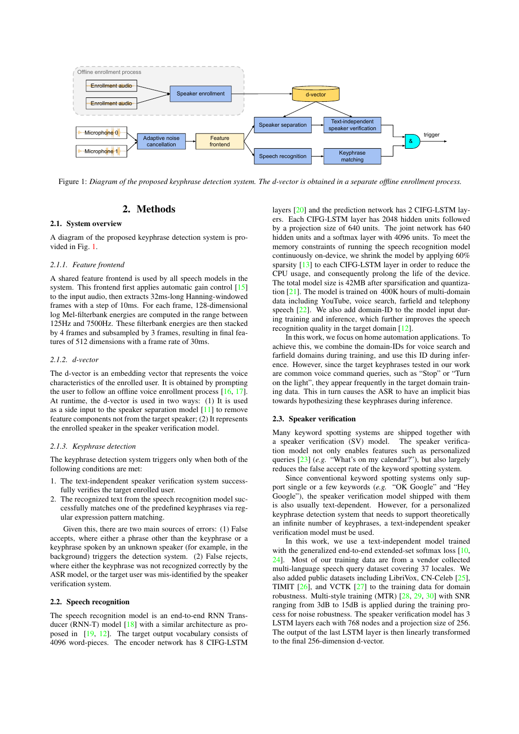<span id="page-1-3"></span>

Figure 1: *Diagram of the proposed keyphrase detection system. The d-vector is obtained in a separate offline enrollment process.*

# 2. Methods

#### <span id="page-1-0"></span>2.1. System overview

A diagram of the proposed keyphrase detection system is provided in Fig. [1.](#page-1-3)

#### *2.1.1. Feature frontend*

A shared feature frontend is used by all speech models in the system. This frontend first applies automatic gain control [\[15\]](#page-4-14) to the input audio, then extracts 32ms-long Hanning-windowed frames with a step of 10ms. For each frame, 128-dimensional log Mel-filterbank energies are computed in the range between 125Hz and 7500Hz. These filterbank energies are then stacked by 4 frames and subsampled by 3 frames, resulting in final features of 512 dimensions with a frame rate of 30ms.

## *2.1.2. d-vector*

The d-vector is an embedding vector that represents the voice characteristics of the enrolled user. It is obtained by prompting the user to follow an offline voice enrollment process [\[16,](#page-4-15) [17\]](#page-4-16). At runtime, the d-vector is used in two ways: (1) It is used as a side input to the speaker separation model [\[11\]](#page-4-10) to remove feature components not from the target speaker; (2) It represents the enrolled speaker in the speaker verification model.

#### *2.1.3. Keyphrase detection*

The keyphrase detection system triggers only when both of the following conditions are met:

- 1. The text-independent speaker verification system successfully verifies the target enrolled user.
- 2. The recognized text from the speech recognition model successfully matches one of the predefined keyphrases via regular expression pattern matching.

Given this, there are two main sources of errors: (1) False accepts, where either a phrase other than the keyphrase or a keyphrase spoken by an unknown speaker (for example, in the background) triggers the detection system. (2) False rejects, where either the keyphrase was not recognized correctly by the ASR model, or the target user was mis-identified by the speaker verification system.

#### <span id="page-1-1"></span>2.2. Speech recognition

The speech recognition model is an end-to-end RNN Trans-ducer (RNN-T) model [\[18\]](#page-4-17) with a similar architecture as proposed in [\[19,](#page-4-18) [12\]](#page-4-11). The target output vocabulary consists of 4096 word-pieces. The encoder network has 8 CIFG-LSTM

layers [\[20\]](#page-4-19) and the prediction network has 2 CIFG-LSTM layers. Each CIFG-LSTM layer has 2048 hidden units followed by a projection size of 640 units. The joint network has 640 hidden units and a softmax layer with 4096 units. To meet the memory constraints of running the speech recognition model continuously on-device, we shrink the model by applying 60% sparsity [\[13\]](#page-4-12) to each CIFG-LSTM layer in order to reduce the CPU usage, and consequently prolong the life of the device. The total model size is 42MB after sparsification and quantization [\[21\]](#page-4-20). The model is trained on 400K hours of multi-domain data including YouTube, voice search, farfield and telephony speech  $[22]$ . We also add domain-ID to the model input during training and inference, which further improves the speech recognition quality in the target domain [\[12\]](#page-4-11).

In this work, we focus on home automation applications. To achieve this, we combine the domain-IDs for voice search and farfield domains during training, and use this ID during inference. However, since the target keyphrases tested in our work are common voice command queries, such as "Stop" or "Turn on the light", they appear frequently in the target domain training data. This in turn causes the ASR to have an implicit bias towards hypothesizing these keyphrases during inference.

## <span id="page-1-2"></span>2.3. Speaker verification

Many keyword spotting systems are shipped together with a speaker verification (SV) model. The speaker verification model not only enables features such as personalized queries [\[23\]](#page-4-22) (*e.g.* "What's on my calendar?"), but also largely reduces the false accept rate of the keyword spotting system.

Since conventional keyword spotting systems only support single or a few keywords (e.g. "OK Google" and "Hey Google"), the speaker verification model shipped with them is also usually text-dependent. However, for a personalized keyphrase detection system that needs to support theoretically an infinite number of keyphrases, a text-independent speaker verification model must be used.

In this work, we use a text-independent model trained with the generalized end-to-end extended-set softmax loss [\[10,](#page-4-9) [24\]](#page-4-23). Most of our training data are from a vendor collected multi-language speech query dataset covering 37 locales. We also added public datasets including LibriVox, CN-Celeb [\[25\]](#page-4-24), TIMIT [\[26\]](#page-4-25), and VCTK [\[27\]](#page-4-26) to the training data for domain robustness. Multi-style training (MTR) [\[28,](#page-4-27) [29,](#page-4-28) [30\]](#page-4-29) with SNR ranging from 3dB to 15dB is applied during the training process for noise robustness. The speaker verification model has 3 LSTM layers each with 768 nodes and a projection size of 256. The output of the last LSTM layer is then linearly transformed to the final 256-dimension d-vector.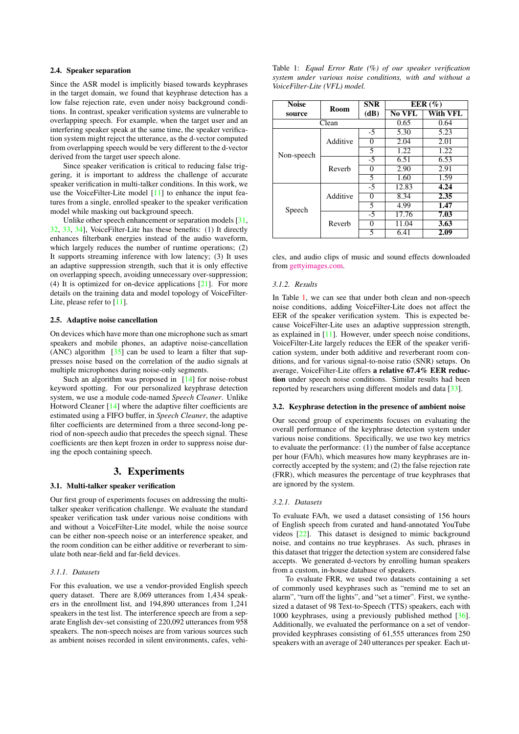## <span id="page-2-0"></span>2.4. Speaker separation

Since the ASR model is implicitly biased towards keyphrases in the target domain, we found that keyphrase detection has a low false rejection rate, even under noisy background conditions. In contrast, speaker verification systems are vulnerable to overlapping speech. For example, when the target user and an interfering speaker speak at the same time, the speaker verification system might reject the utterance, as the d-vector computed from overlapping speech would be very different to the d-vector derived from the target user speech alone.

Since speaker verification is critical to reducing false triggering, it is important to address the challenge of accurate speaker verification in multi-talker conditions. In this work, we use the VoiceFilter-Lite model [\[11\]](#page-4-10) to enhance the input features from a single, enrolled speaker to the speaker verification model while masking out background speech.

Unlike other speech enhancement or separation models [\[31,](#page-4-30) [32,](#page-4-31) [33,](#page-4-32) [34\]](#page-4-33), VoiceFilter-Lite has these benefits: (1) It directly enhances filterbank energies instead of the audio waveform, which largely reduces the number of runtime operations; (2) It supports streaming inference with low latency; (3) It uses an adaptive suppression strength, such that it is only effective on overlapping speech, avoiding unnecessary over-suppression; (4) It is optimized for on-device applications [\[21\]](#page-4-20). For more details on the training data and model topology of VoiceFilter-Lite, please refer to [\[11\]](#page-4-10).

## <span id="page-2-1"></span>2.5. Adaptive noise cancellation

On devices which have more than one microphone such as smart speakers and mobile phones, an adaptive noise-cancellation (ANC) algorithm  $[35]$  can be used to learn a filter that suppresses noise based on the correlation of the audio signals at multiple microphones during noise-only segments.

Such an algorithm was proposed in [\[14\]](#page-4-13) for noise-robust keyword spotting. For our personalized keyphrase detection system, we use a module code-named *Speech Cleaner*. Unlike Hotword Cleaner [\[14\]](#page-4-13) where the adaptive filter coefficients are estimated using a FIFO buffer, in *Speech Cleaner*, the adaptive filter coefficients are determined from a three second-long period of non-speech audio that precedes the speech signal. These coefficients are then kept frozen in order to suppress noise during the epoch containing speech.

## 3. Experiments

#### <span id="page-2-3"></span><span id="page-2-2"></span>3.1. Multi-talker speaker verification

Our first group of experiments focuses on addressing the multitalker speaker verification challenge. We evaluate the standard speaker verification task under various noise conditions with and without a VoiceFilter-Lite model, while the noise source can be either non-speech noise or an interference speaker, and the room condition can be either additive or reverberant to simulate both near-field and far-field devices.

#### *3.1.1. Datasets*

For this evaluation, we use a vendor-provided English speech query dataset. There are 8,069 utterances from 1,434 speakers in the enrollment list, and 194,890 utterances from 1,241 speakers in the test list. The interference speech are from a separate English dev-set consisting of 220,092 utterances from 958 speakers. The non-speech noises are from various sources such as ambient noises recorded in silent environments, cafes, vehi-

<span id="page-2-5"></span>

|  |                               |  |  | Table 1: Equal Error Rate $(\%)$ of our speaker verification |  |
|--|-------------------------------|--|--|--------------------------------------------------------------|--|
|  |                               |  |  | system under various noise conditions, with and without a    |  |
|  | VoiceFilter-Lite (VFL) model. |  |  |                                                              |  |

| <b>Noise</b> | <b>Room</b> | <b>SNR</b> | EER $(\% )$   |          |  |
|--------------|-------------|------------|---------------|----------|--|
| source       |             | (dB)       | <b>No VFL</b> | With VFL |  |
|              | Clean       | 0.65       | 0.64          |          |  |
|              | Additive    | $-5$       | 5.30          | 5.23     |  |
|              |             | 0          | 2.04          | 2.01     |  |
| Non-speech   |             | 5          | 1.22          | 1.22     |  |
|              | Reverb      | $-5$       | 6.51          | 6.53     |  |
|              |             | 0          | 2.90          | 2.91     |  |
|              |             | 5          | 1.60          | 1.59     |  |
|              | Additive    | $-5$       | 12.83         | 4.24     |  |
|              |             | 0          | 8.34          | 2.35     |  |
| Speech       |             | 5          | 4.99          | 1.47     |  |
|              | Reverb      | $-5$       | 17.76         | 7.03     |  |
|              |             | 0          | 11.04         | 3.63     |  |
|              |             | 5          | 6.41          | 2.09     |  |

cles, and audio clips of music and sound effects downloaded from [gettyimages.com.](https://www.gettyimages.com/)

#### *3.1.2. Results*

In Table [1,](#page-2-5) we can see that under both clean and non-speech noise conditions, adding VoiceFilter-Lite does not affect the EER of the speaker verification system. This is expected because VoiceFilter-Lite uses an adaptive suppression strength, as explained in [\[11\]](#page-4-10). However, under speech noise conditions, VoiceFilter-Lite largely reduces the EER of the speaker verification system, under both additive and reverberant room conditions, and for various signal-to-noise ratio (SNR) setups. On average, VoiceFilter-Lite offers a relative 67.4% EER reduction under speech noise conditions. Similar results had been reported by researchers using different models and data [\[33\]](#page-4-32).

### <span id="page-2-4"></span>3.2. Keyphrase detection in the presence of ambient noise

Our second group of experiments focuses on evaluating the overall performance of the keyphrase detection system under various noise conditions. Specifically, we use two key metrics to evaluate the performance: (1) the number of false acceptance per hour (FA/h), which measures how many keyphrases are incorrectly accepted by the system; and (2) the false rejection rate (FRR), which measures the percentage of true keyphrases that are ignored by the system.

#### *3.2.1. Datasets*

To evaluate FA/h, we used a dataset consisting of 156 hours of English speech from curated and hand-annotated YouTube videos [\[22\]](#page-4-21). This dataset is designed to mimic background noise, and contains no true keyphrases. As such, phrases in this dataset that trigger the detection system are considered false accepts. We generated d-vectors by enrolling human speakers from a custom, in-house database of speakers.

To evaluate FRR, we used two datasets containing a set of commonly used keyphrases such as "remind me to set an alarm", "turn off the lights", and "set a timer". First, we synthesized a dataset of 98 Text-to-Speech (TTS) speakers, each with 1000 keyphrases, using a previously published method [\[36\]](#page-4-35). Additionally, we evaluated the performance on a set of vendorprovided keyphrases consisting of 61,555 utterances from 250 speakers with an average of 240 utterances per speaker. Each ut-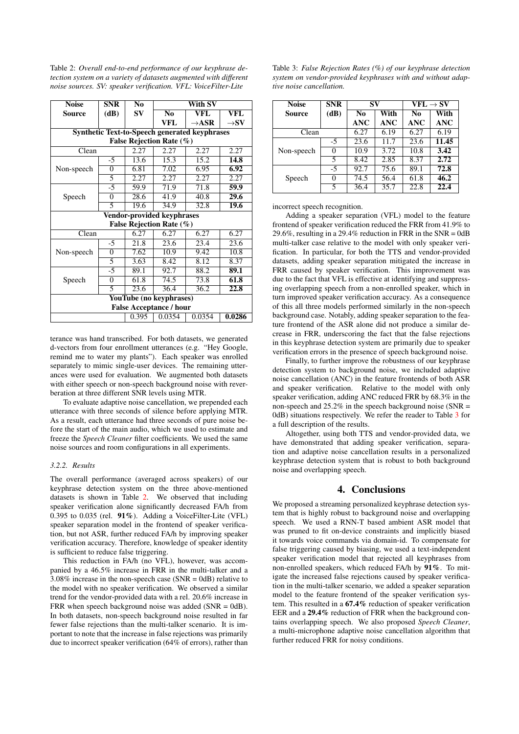<span id="page-3-1"></span>Table 2: *Overall end-to-end performance of our keyphrase detection system on a variety of datasets augmented with different noise sources. SV: speaker verification. VFL: VoiceFilter-Lite*

| <b>Noise</b>                                         | <b>SNR</b>     | N <sub>0</sub> | With SV                    |                   |                  |  |  |
|------------------------------------------------------|----------------|----------------|----------------------------|-------------------|------------------|--|--|
| Source                                               | (dB)           | SV             | $\overline{\text{No}}$     | VFL               | VFL              |  |  |
|                                                      |                |                | VFL                        | $\rightarrow$ ASR | $\rightarrow$ SV |  |  |
| <b>Synthetic Text-to-Speech generated keyphrases</b> |                |                |                            |                   |                  |  |  |
| False Rejection Rate (%)                             |                |                |                            |                   |                  |  |  |
| Clean                                                |                |                | 2.27                       | 2.27              | 2.27             |  |  |
|                                                      | $-5$           | 13.6           | 15.3                       | 15.2              | 14.8             |  |  |
| Non-speech                                           | $\overline{0}$ | 6.81           | 7.02                       | 6.95              | 6.92             |  |  |
|                                                      | 5              | 2.27           | 2.27                       | $2.\overline{27}$ | 2.27             |  |  |
|                                                      | $-5$           | 59.9           | 71.9                       | 71.8              | 59.9             |  |  |
| Speech                                               | $\overline{0}$ | 28.6           | 41.9                       | 40.8              | 29.6             |  |  |
|                                                      | 5              | 19.6           | 34.9                       | 32.8              | 19.6             |  |  |
|                                                      |                |                | Vendor-provided keyphrases |                   |                  |  |  |
|                                                      |                |                | False Rejection Rate (%)   |                   |                  |  |  |
| Clean                                                |                |                |                            | 6.27              | 6.27             |  |  |
|                                                      | $-5$           | 21.8           | 23.6                       | 23.4              | 23.6             |  |  |
| Non-speech                                           | $\overline{0}$ | 7.62           | 10.9                       | 9.42              | 10.8             |  |  |
|                                                      | 5              | 3.63           | 8.42                       | 8.12              | 8.37             |  |  |
| Speech                                               | $-5$           | 89.1           | 92.7                       | 88.2              | 89.1             |  |  |
|                                                      | $\overline{0}$ | 61.8           | 74.5                       | 73.8              | 61.8             |  |  |
|                                                      | 5              | 23.6           | 36.4                       | 36.2              | 22.8             |  |  |
| YouTube (no keyphrases)                              |                |                |                            |                   |                  |  |  |
| <b>False Acceptance / hour</b>                       |                |                |                            |                   |                  |  |  |
| 0.0286<br>0.0354<br>0.0354<br>0.395                  |                |                |                            |                   |                  |  |  |

terance was hand transcribed. For both datasets, we generated d-vectors from four enrollment utterances (e.g. "Hey Google, remind me to water my plants"). Each speaker was enrolled separately to mimic single-user devices. The remaining utterances were used for evaluation. We augmented both datasets with either speech or non-speech background noise with reverberation at three different SNR levels using MTR.

To evaluate adaptive noise cancellation, we prepended each utterance with three seconds of silence before applying MTR. As a result, each utterance had three seconds of pure noise before the start of the main audio, which we used to estimate and freeze the *Speech Cleaner* filter coefficients. We used the same noise sources and room configurations in all experiments.

# *3.2.2. Results*

The overall performance (averaged across speakers) of our keyphrase detection system on the three above-mentioned datasets is shown in Table [2.](#page-3-1) We observed that including speaker verification alone significantly decreased FA/h from 0.395 to 0.035 (rel.  $91\%$ ). Adding a VoiceFilter-Lite (VFL) speaker separation model in the frontend of speaker verification, but not ASR, further reduced FA/h by improving speaker verification accuracy. Therefore, knowledge of speaker identity is sufficient to reduce false triggering.

This reduction in FA/h (no VFL), however, was accompanied by a 46.5% increase in FRR in the multi-talker and a  $3.08\%$  increase in the non-speech case (SNR = 0dB) relative to the model with no speaker verification. We observed a similar trend for the vendor-provided data with a rel. 20.6% increase in FRR when speech background noise was added  $(SNR = 0dB)$ . In both datasets, non-speech background noise resulted in far fewer false rejections than the multi-talker scenario. It is important to note that the increase in false rejections was primarily due to incorrect speaker verification (64% of errors), rather than

<span id="page-3-2"></span>

| Table 3: False Rejection Rates $(\%)$ of our keyphrase detection |
|------------------------------------------------------------------|
| system on vendor-provided keyphrases with and without adap-      |
| tive noise cancellation.                                         |

| <b>Noise</b> | <b>SNR</b> | SV               |                    | $\mathbf{VFL} \rightarrow \mathbf{SV}$ |                    |
|--------------|------------|------------------|--------------------|----------------------------------------|--------------------|
| Source       | (dB)       | No<br><b>ANC</b> | With<br><b>ANC</b> | No<br><b>ANC</b>                       | With<br><b>ANC</b> |
| Clean        |            | 6.27             | 6.19               | 6.27                                   | 6.19               |
|              | $-5$       | 23.6             | 11.7               | 23.6                                   | 11.45              |
| Non-speech   | 0          | 10.9             | 3.72               | 10.8                                   | 3.42               |
|              | 5          | 8.42             | 2.85               | 8.37                                   | 2.72               |
|              | $-5$       | 92.7             | 75.6               | 89.1                                   | 72.8               |
| Speech       | 0          | 74.5             | 56.4               | 61.8                                   | 46.2               |
|              | 5          | 36.4             | 35.7               | $\overline{22.8}$                      | 22.4               |

incorrect speech recognition.

Adding a speaker separation (VFL) model to the feature frontend of speaker verification reduced the FRR from 41.9% to 29.6%, resulting in a 29.4% reduction in FRR in the SNR =  $0dB$ multi-talker case relative to the model with only speaker verification. In particular, for both the TTS and vendor-provided datasets, adding speaker separation mitigated the increase in FRR caused by speaker verification. This improvement was due to the fact that VFL is effective at identifying and suppressing overlapping speech from a non-enrolled speaker, which in turn improved speaker verification accuracy. As a consequence of this all three models performed similarly in the non-speech background case. Notably, adding speaker separation to the feature frontend of the ASR alone did not produce a similar decrease in FRR, underscoring the fact that the false rejections in this keyphrase detection system are primarily due to speaker verification errors in the presence of speech background noise.

Finally, to further improve the robustness of our keyphrase detection system to background noise, we included adaptive noise cancellation (ANC) in the feature frontends of both ASR and speaker verification. Relative to the model with only speaker verification, adding ANC reduced FRR by 68.3% in the non-speech and  $25.2\%$  in the speech background noise (SNR = 0dB) situations respectively. We refer the reader to Table [3](#page-3-2) for a full description of the results.

Altogether, using both TTS and vendor-provided data, we have demonstrated that adding speaker verification, separation and adaptive noise cancellation results in a personalized keyphrase detection system that is robust to both background noise and overlapping speech.

# 4. Conclusions

<span id="page-3-0"></span>We proposed a streaming personalized keyphrase detection system that is highly robust to background noise and overlapping speech. We used a RNN-T based ambient ASR model that was pruned to fit on-device constraints and implicitly biased it towards voice commands via domain-id. To compensate for false triggering caused by biasing, we used a text-independent speaker verification model that rejected all keyphrases from non-enrolled speakers, which reduced FA/h by 91%. To mitigate the increased false rejections caused by speaker verification in the multi-talker scenario, we added a speaker separation model to the feature frontend of the speaker verification system. This resulted in a 67.4% reduction of speaker verification EER and a 29.4% reduction of FRR when the background contains overlapping speech. We also proposed *Speech Cleaner*, a multi-microphone adaptive noise cancellation algorithm that further reduced FRR for noisy conditions.